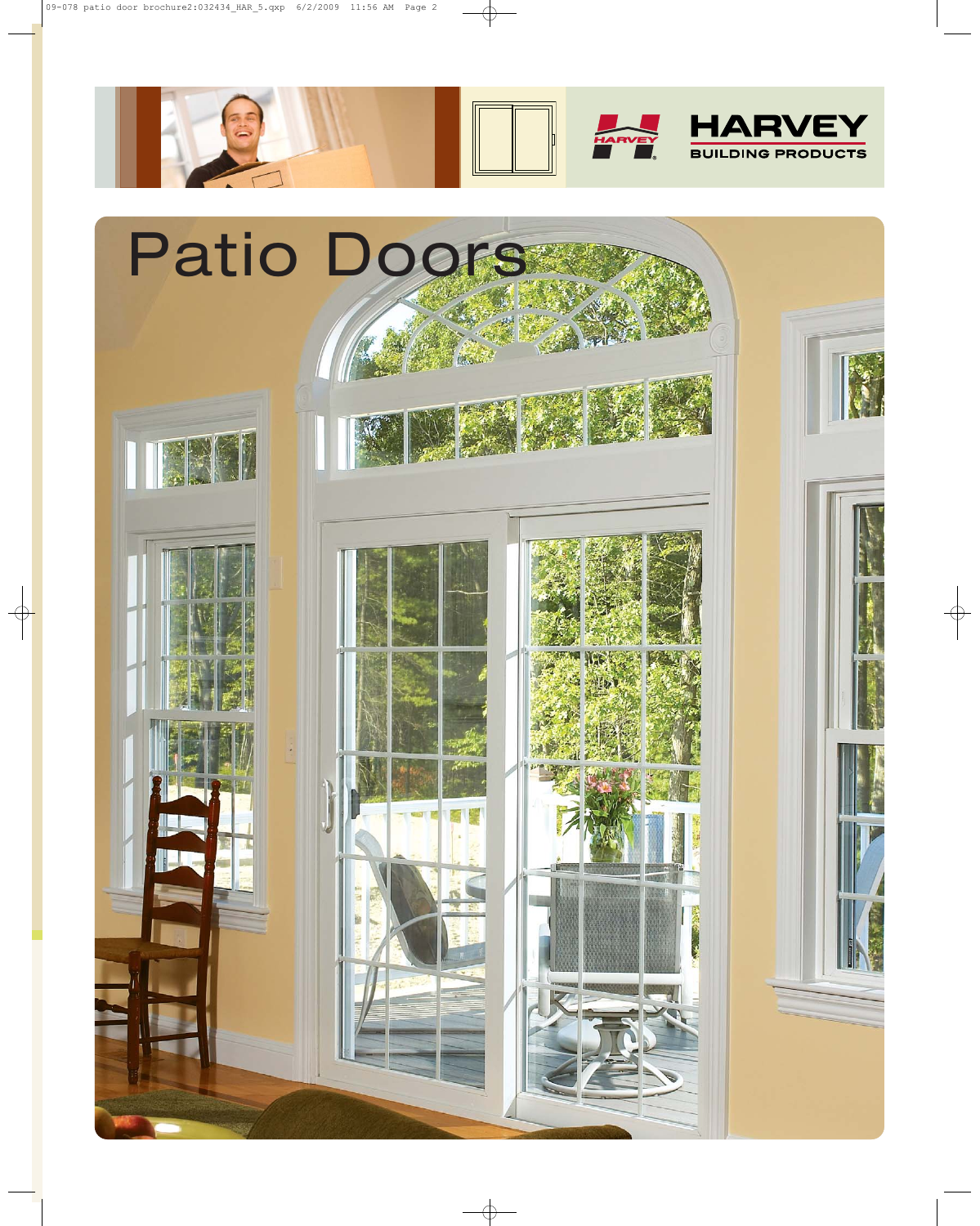

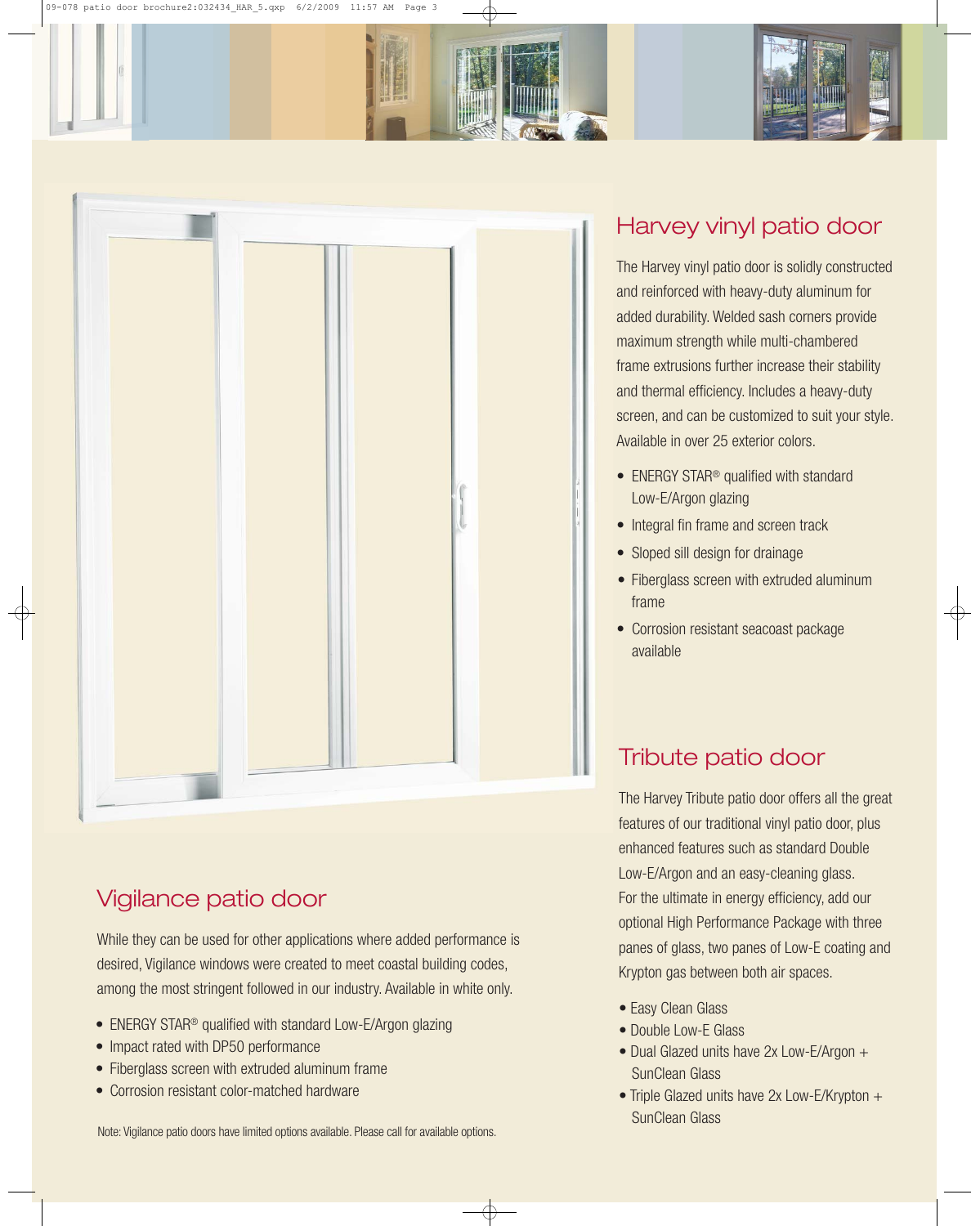

## Vigilance patio door

While they can be used for other applications where added performance is desired, Vigilance windows were created to meet coastal building codes, among the most stringent followed in our industry. Available in white only.

- ENERGY STAR<sup>®</sup> qualified with standard Low-E/Argon glazing
- Impact rated with DP50 performance
- Fiberglass screen with extruded aluminum frame
- Corrosion resistant color-matched hardware

Note: Vigilance patio doors have limited options available. Please call for available options.

#### Harvey vinyl patio door

The Harvey vinyl patio door is solidly constructed and reinforced with heavy-duty aluminum for added durability. Welded sash corners provide maximum strength while multi-chambered frame extrusions further increase their stability and thermal efficiency. Includes a heavy-duty screen, and can be customized to suit your style. Available in over 25 exterior colors.

- ENERGY STAR<sup>®</sup> qualified with standard Low-E/Argon glazing
- Integral fin frame and screen track
- Sloped sill design for drainage
- Fiberglass screen with extruded aluminum frame
- Corrosion resistant seacoast package available

## Tribute patio door

The Harvey Tribute patio door offers all the great features of our traditional vinyl patio door, plus enhanced features such as standard Double Low-E/Argon and an easy-cleaning glass. For the ultimate in energy efficiency, add our optional High Performance Package with three panes of glass, two panes of Low-E coating and Krypton gas between both air spaces.

- Easy Clean Glass
- Double Low-E Glass
- Dual Glazed units have 2x Low-E/Argon + SunClean Glass
- Triple Glazed units have 2x Low-E/Krypton + SunClean Glass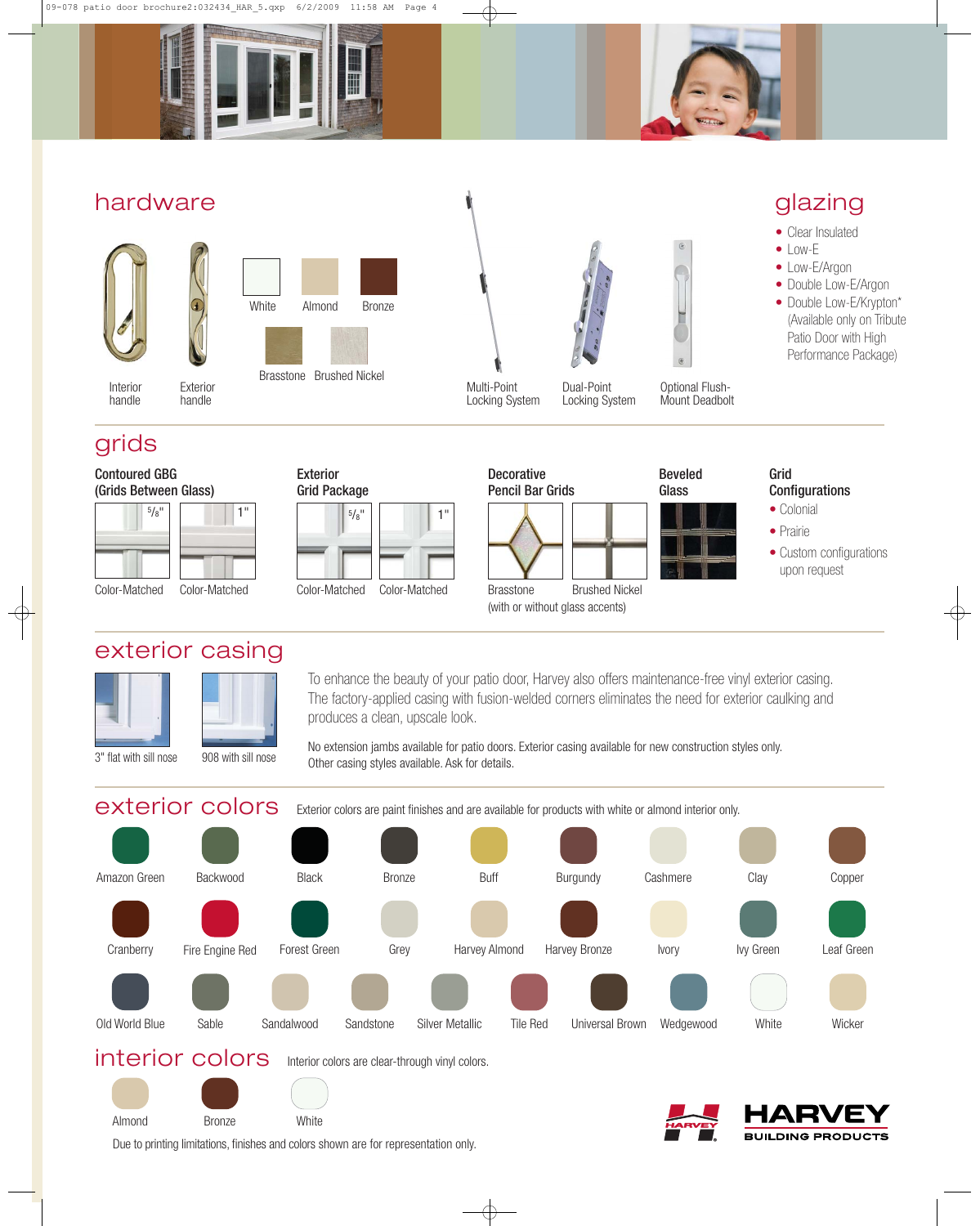



#### hardware







Locking System Locking System

Multi-Point



Optional Flush-Mount Deadbolt

## glazing

- Clear Insulated
- $\bullet$  Low-E
- Low-E/Argon
- Double Low-E/Argon • Double Low-E/Krypton\* (Available only on Tribute Patio Door with High Performance Package)

## grids

Interior handle

Contoured GBG (Grids Between Glass)

| $5/8$ <sup>11</sup>                                                   | ш                                                                     | $\frac{5}{8}$ <sup>11</sup>                                                     | $\blacksquare$                          |
|-----------------------------------------------------------------------|-----------------------------------------------------------------------|---------------------------------------------------------------------------------|-----------------------------------------|
|                                                                       |                                                                       |                                                                                 |                                         |
|                                                                       |                                                                       |                                                                                 |                                         |
| $\bigcap$ $\bigcap$ $\bigcap$ $\bigcap$ $\bigcap$ $\bigcap$ $\bigcap$ | $\bigcap$ $\bigcap$ $\bigcap$ $\bigcap$ $\bigcap$ $\bigcap$ $\bigcap$ | $\bigcap$ $\bigcap$ $\bigcap$ $\bigcap$ $\bigcap$ $\bigcap$ $\bigcap$ $\bigcap$ | $\bigcap$ $\bigcap$ $\bigcap$ $\bigcap$ |

Exterior handle

exterior casing





Grid Package

Exterior





Beveled

Grid

**Configurations** • Colonial

• Prairie

• Custom configurations upon request

To enhance the beauty of your patio door, Harvey also offers maintenance-free vinyl exterior casing. The factory-applied casing with fusion-welded corners eliminates the need for exterior caulking and produces a clean, upscale look.

No extension jambs available for patio doors. Exterior casing available for new construction styles only. Other casing styles available. Ask for details.

exterior colors Exterior colors are paint finishes and are available for products with white or almond interior only. interior colors Interior colors are clear-through vinyl colors. **White** Backwood Leaf Green Black Cranberry Fire Engine Red Forest Green Grey Sable Sandalwood Sandstone Bronze Buff Burgundy Harvey Almond Harvey Bronze Ivory Old World Blue Sable Sandalwood Sandstone Silver Metallic Tile Red Universal Brown Wedgewood Cashmere Clay Copper Ivy Green Amazon Green **Wicker** 

**BUILDING PRODUCTS** 

Almond Bronze White

Due to printing limitations, finishes and colors shown are for representation only.